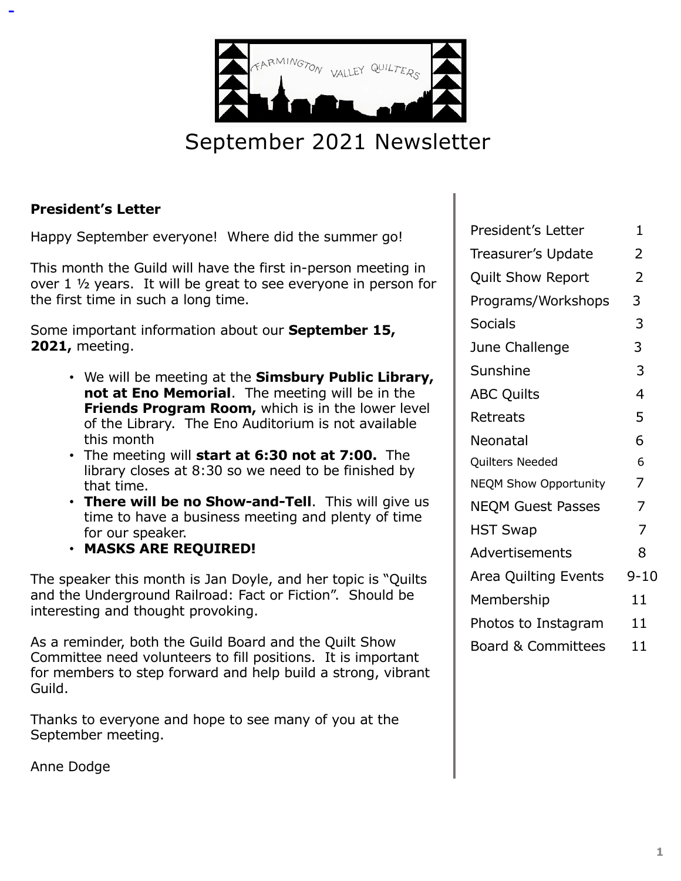

# September 2021 Newsletter

### **President's Letter**

Happy September everyone! Where did the summer go!

This month the Guild will have the first in-person meeting in over 1 ½ years. It will be great to see everyone in person for the first time in such a long time.

Some important information about our **September 15, 2021,** meeting.

- We will be meeting at the **Simsbury Public Library, not at Eno Memorial**. The meeting will be in the **Friends Program Room,** which is in the lower level of the Library. The Eno Auditorium is not available this month
- The meeting will **start at 6:30 not at 7:00.** The library closes at 8:30 so we need to be finished by that time.
- **There will be no Show-and-Tell**. This will give us time to have a business meeting and plenty of time for our speaker.
- **MASKS ARE REQUIRED!**

The speaker this month is Jan Doyle, and her topic is "Quilts and the Underground Railroad: Fact or Fiction". Should be interesting and thought provoking.

As a reminder, both the Guild Board and the Quilt Show Committee need volunteers to fill positions. It is important for members to step forward and help build a strong, vibrant Guild.

Thanks to everyone and hope to see many of you at the September meeting.

Anne Dodge

| <b>President's Letter</b>     | 1              |
|-------------------------------|----------------|
| Treasurer's Update            | 2              |
| <b>Quilt Show Report</b>      | $\overline{2}$ |
| Programs/Workshops            | 3              |
| <b>Socials</b>                | 3              |
| June Challenge                | 3              |
| Sunshine                      | 3              |
| <b>ABC Quilts</b>             | $\overline{4}$ |
| Retreats                      | 5              |
| Neonatal                      | 6              |
| Quilters Needed               | 6              |
| <b>NEQM Show Opportunity</b>  | 7              |
| <b>NEQM Guest Passes</b>      | $\overline{7}$ |
| <b>HST Swap</b>               | $\overline{7}$ |
| Advertisements                | 8              |
| Area Quilting Events          | $9 - 10$       |
| Membership                    | 11             |
| Photos to Instagram           | 11             |
| <b>Board &amp; Committees</b> | 11             |
|                               |                |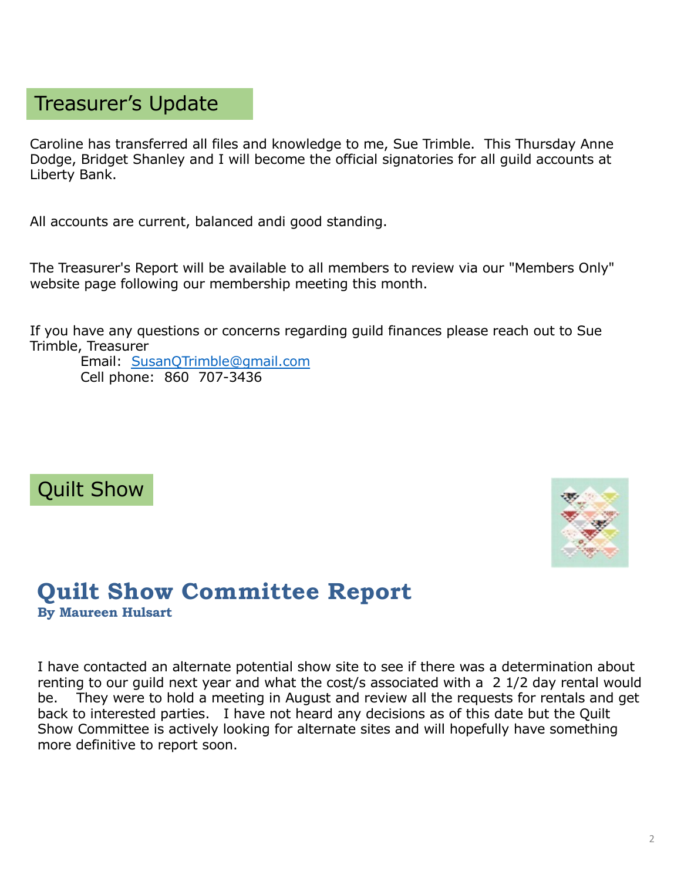### Treasurer's Update

Caroline has transferred all files and knowledge to me, Sue Trimble. This Thursday Anne Dodge, Bridget Shanley and I will become the official signatories for all guild accounts at Liberty Bank.

All accounts are current, balanced andi good standing.

The Treasurer's Report will be available to all members to review via our "Members Only" website page following our membership meeting this month.

If you have any questions or concerns regarding guild finances please reach out to Sue Trimble, Treasurer

Email: [SusanQTrimble@gmail.com](mailto:SusanQTrimble@gmail.com) Cell phone: 860 707-3436

# Quilt Show



# **Quilt Show Committee Report**

**By Maureen Hulsart**

I have contacted an alternate potential show site to see if there was a determination about renting to our guild next year and what the cost/s associated with a 2 1/2 day rental would be. They were to hold a meeting in August and review all the requests for rentals and get back to interested parties. I have not heard any decisions as of this date but the Quilt Show Committee is actively looking for alternate sites and will hopefully have something more definitive to report soon.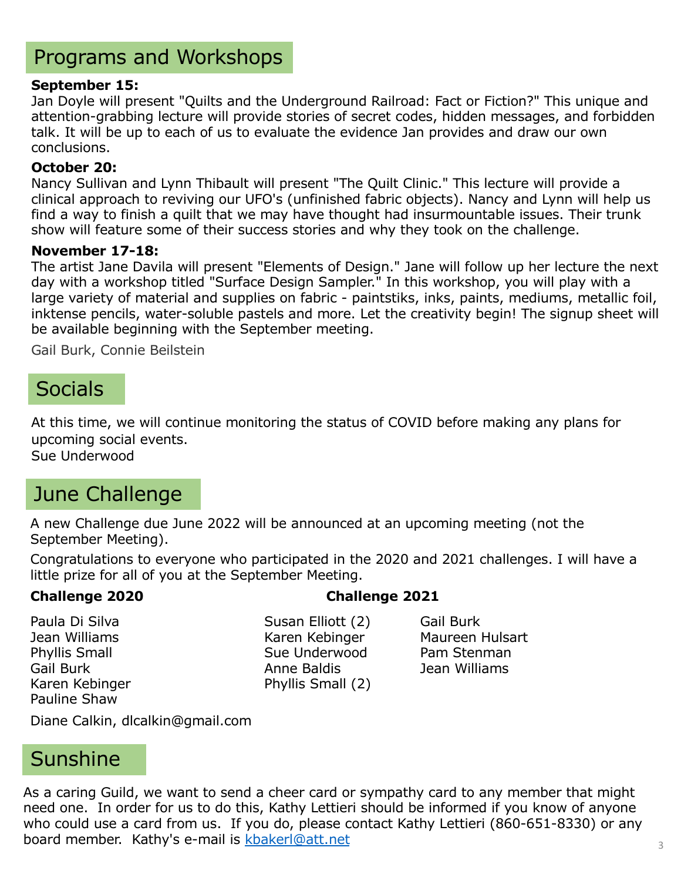# Programs and Workshops

#### **September 15:**

Jan Doyle will present "Quilts and the Underground Railroad: Fact or Fiction?" This unique and attention-grabbing lecture will provide stories of secret codes, hidden messages, and forbidden talk. It will be up to each of us to evaluate the evidence Jan provides and draw our own conclusions.

#### **October 20:**

Nancy Sullivan and Lynn Thibault will present "The Quilt Clinic." This lecture will provide a clinical approach to reviving our UFO's (unfinished fabric objects). Nancy and Lynn will help us find a way to finish a quilt that we may have thought had insurmountable issues. Their trunk show will feature some of their success stories and why they took on the challenge.

#### **November 17-18:**

The artist Jane Davila will present "Elements of Design." Jane will follow up her lecture the next day with a workshop titled "Surface Design Sampler." In this workshop, you will play with a large variety of material and supplies on fabric - paintstiks, inks, paints, mediums, metallic foil, inktense pencils, water-soluble pastels and more. Let the creativity begin! The signup sheet will be available beginning with the September meeting.

Gail Burk, Connie Beilstein

### **Socials**

At this time, we will continue monitoring the status of COVID before making any plans for upcoming social events.

Sue Underwood

### June Challenge

A new Challenge due June 2022 will be announced at an upcoming meeting (not the September Meeting).

Congratulations to everyone who participated in the 2020 and 2021 challenges. I will have a little prize for all of you at the September Meeting.

#### **Challenge 2020 Challenge 2021**

Pauline Shaw

Paula Di Silva **Susan Elliott** (2) Gail Burk Jean Williams **Karen Kebinger** Maureen Hulsart Phyllis Small **Sue Underwood** Pam Stenman Gail Burk **Anne Baldis** Anne Baldis **Anne Baldis** Jean Williams Karen Kebinger **Phyllis Small** (2)

Diane Calkin, dlcalkin@gmail.com

### Sunshine

As a caring Guild, we want to send a cheer card or sympathy card to any member that might need one. In order for us to do this, Kathy Lettieri should be informed if you know of anyone who could use a card from us. If you do, please contact Kathy Lettieri (860-651-8330) or any board member. Kathy's e-mail is [kbakerl@att.ne](mailto:kbakerl@att.net)t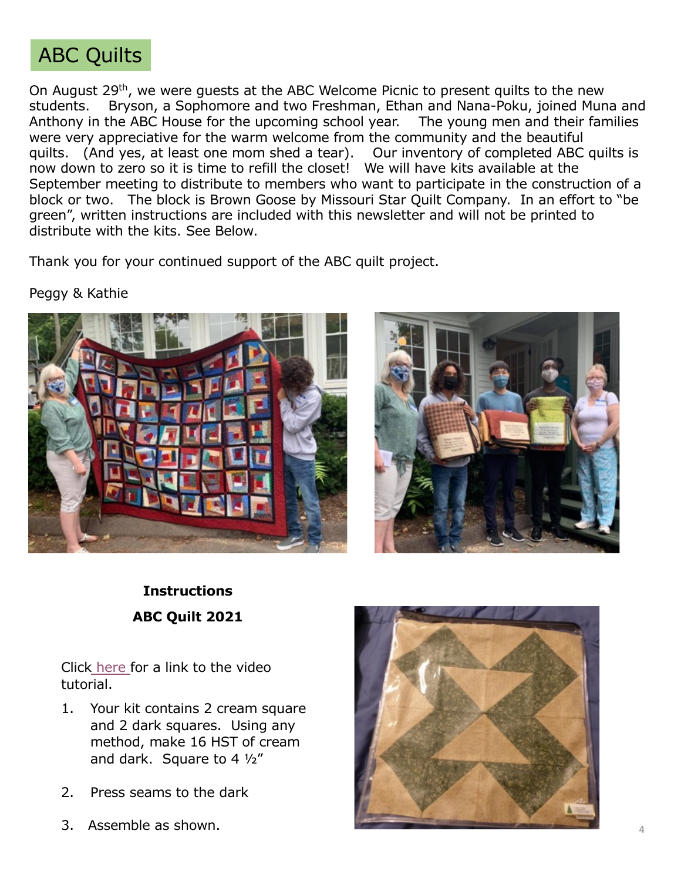# ABC Quilts

On August 29<sup>th</sup>, we were guests at the ABC Welcome Picnic to present quilts to the new students. Bryson, a Sophomore and two Freshman, Ethan and Nana-Poku, joined Muna and Anthony in the ABC House for the upcoming school year. The young men and their families were very appreciative for the warm welcome from the community and the beautiful quilts. (And yes, at least one mom shed a tear). Our inventory of completed ABC quilts is now down to zero so it is time to refill the closet! We will have kits available at the September meeting to distribute to members who want to participate in the construction of a block or two. The block is Brown Goose by Missouri Star Quilt Company. In an effort to "be green", written instructions are included with this newsletter and will not be printed to distribute with the kits. See Below.

Thank you for your continued support of the ABC quilt project.

#### Peggy & Kathie





### **Instructions ABC Quilt 2021**

Click [here](https://www.bing.com/videos/search?q=missouri+star+quilt+company+brown+goose&&view=detail&mid=3017AA6F70D158132C283017AA6F70D158132C28&&FORM=VRDGAR) for a link to the video tutorial.

- 1. Your kit contains 2 cream square and 2 dark squares. Using any method, make 16 HST of cream and dark. Square to 4 ½"
- 2. Press seams to the dark
- 3. Assemble as shown.

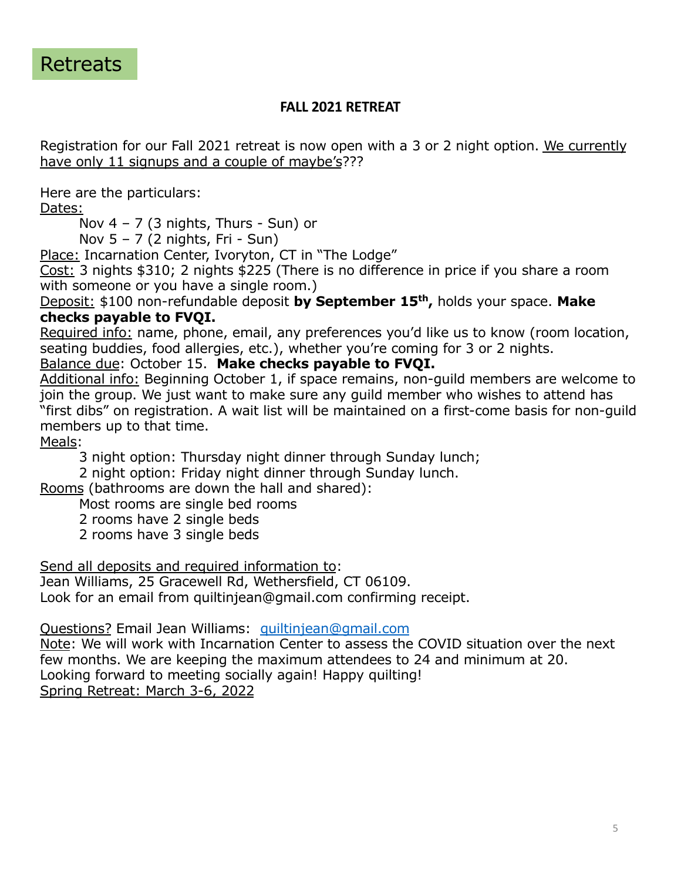

#### **FALL 2021 RETREAT**

Registration for our Fall 2021 retreat is now open with a 3 or 2 night option. We currently have only 11 signups and a couple of maybe's???

Here are the particulars:

Dates:

Nov  $4 - 7$  (3 nights, Thurs - Sun) or

Nov 5 – 7 (2 nights, Fri - Sun)

Place: Incarnation Center, Ivoryton, CT in "The Lodge"

Cost: 3 nights \$310; 2 nights \$225 (There is no difference in price if you share a room with someone or you have a single room.)

Deposit: \$100 non-refundable deposit **by September 15th,** holds your space. **Make checks payable to FVQI.** 

Required info: name, phone, email, any preferences you'd like us to know (room location, seating buddies, food allergies, etc.), whether you're coming for 3 or 2 nights.

Balance due: October 15. **Make checks payable to FVQI.** 

Additional info: Beginning October 1, if space remains, non-guild members are welcome to join the group. We just want to make sure any guild member who wishes to attend has "first dibs" on registration. A wait list will be maintained on a first-come basis for non-guild members up to that time.

Meals:

3 night option: Thursday night dinner through Sunday lunch;

2 night option: Friday night dinner through Sunday lunch.

Rooms (bathrooms are down the hall and shared):

- Most rooms are single bed rooms
- 2 rooms have 2 single beds
- 2 rooms have 3 single beds

Send all deposits and required information to:

Jean Williams, 25 Gracewell Rd, Wethersfield, CT 06109. Look for an email from quiltinjean@gmail.com confirming receipt.

Questions? Email Jean Williams: [quiltinjean@gmail.com](mailto:quiltinjean@gmail.com)

Note: We will work with Incarnation Center to assess the COVID situation over the next few months. We are keeping the maximum attendees to 24 and minimum at 20. Looking forward to meeting socially again! Happy quilting! Spring Retreat: March 3-6, 2022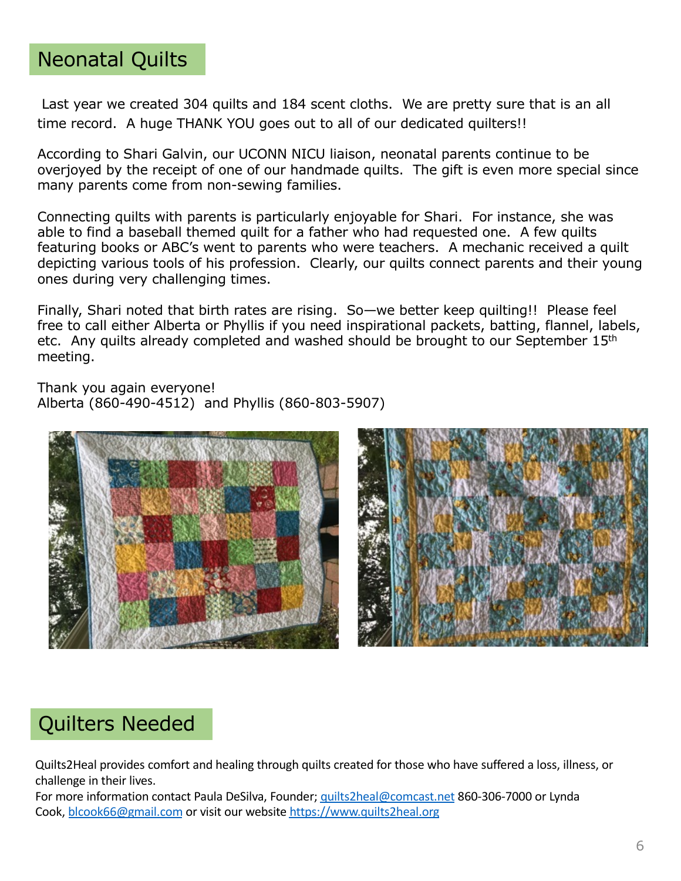## Neonatal Quilts

Last year we created 304 quilts and 184 scent cloths. We are pretty sure that is an all time record. A huge THANK YOU goes out to all of our dedicated quilters!!

According to Shari Galvin, our UCONN NICU liaison, neonatal parents continue to be overjoyed by the receipt of one of our handmade quilts. The gift is even more special since many parents come from non-sewing families.

Connecting quilts with parents is particularly enjoyable for Shari. For instance, she was able to find a baseball themed quilt for a father who had requested one. A few quilts featuring books or ABC's went to parents who were teachers. A mechanic received a quilt depicting various tools of his profession. Clearly, our quilts connect parents and their young ones during very challenging times.

Finally, Shari noted that birth rates are rising. So—we better keep quilting!! Please feel free to call either Alberta or Phyllis if you need inspirational packets, batting, flannel, labels, etc. Any quilts already completed and washed should be brought to our September 15<sup>th</sup> meeting.

Thank you again everyone! Alberta (860-490-4512) and Phyllis (860-803-5907)





# Quilters Needed

Quilts2Heal provides comfort and healing through quilts created for those who have suffered a loss, illness, or challenge in their lives.

For more information contact Paula DeSilva, Founder; [quilts2heal@comcast.ne](mailto:quilts2heal@comcast.net)t 860-306-7000 or Lynda Cook, [blcook66@gmail.com](mailto:blcook66@gmail.com) or visit our website [https://www.quilts2heal.or](https://www.quilts2heal.org/)g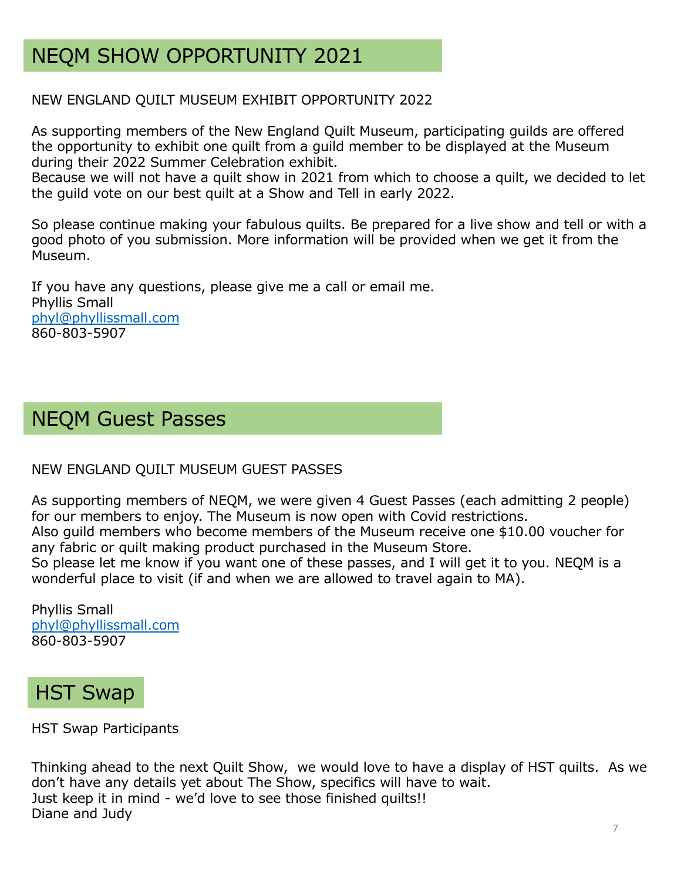# NEQM SHOW OPPORTUNITY 2021

#### NEW ENGLAND QUILT MUSEUM EXHIBIT OPPORTUNITY 2022

As supporting members of the New England Quilt Museum, participating guilds are offered the opportunity to exhibit one quilt from a guild member to be displayed at the Museum during their 2022 Summer Celebration exhibit.

Because we will not have a quilt show in 2021 from which to choose a quilt, we decided to let the guild vote on our best quilt at a Show and Tell in early 2022.

So please continue making your fabulous quilts. Be prepared for a live show and tell or with a good photo of you submission. More information will be provided when we get it from the Museum.

If you have any questions, please give me a call or email me. Phyllis Small [phyl@phyllissmall.com](mailto:phyl@phyllissmall.com) 860-803-5907

# NEQM Guest Passes

#### NEW ENGLAND QUILT MUSEUM GUEST PASSES

As supporting members of NEQM, we were given 4 Guest Passes (each admitting 2 people) for our members to enjoy. The Museum is now open with Covid restrictions. Also guild members who become members of the Museum receive one \$10.00 voucher for

any fabric or quilt making product purchased in the Museum Store. So please let me know if you want one of these passes, and I will get it to you. NEQM is a wonderful place to visit (if and when we are allowed to travel again to MA).

Phyllis Small [phyl@phyllissmall.com](mailto:phyl@phyllissmall.com) 860-803-5907

# HST Swap

HST Swap Participants

Thinking ahead to the next Quilt Show, we would love to have a display of HST quilts. As we don't have any details yet about The Show, specifics will have to wait. Just keep it in mind - we'd love to see those finished quilts!! Diane and Judy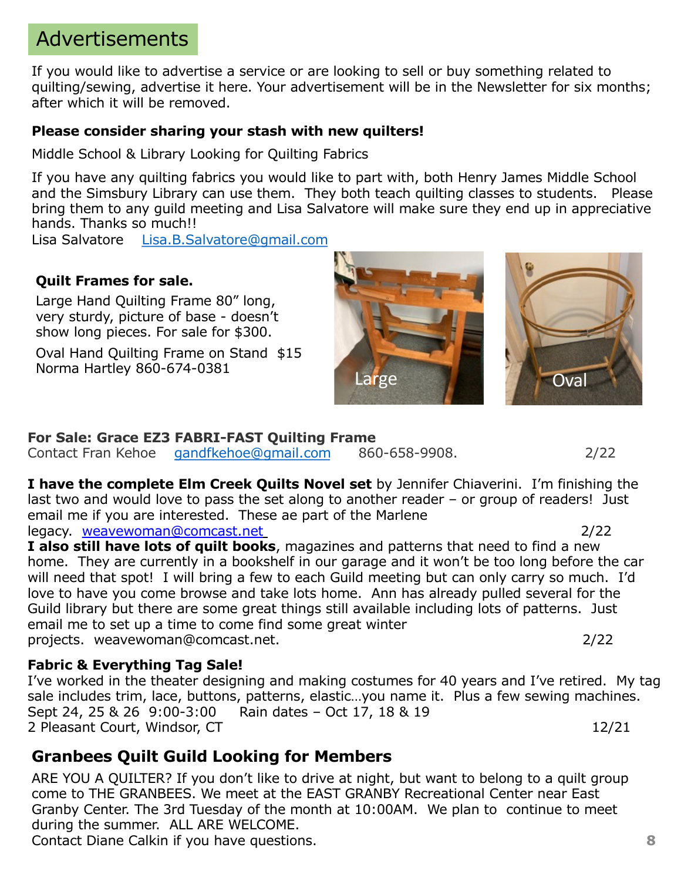# Advertisements

If you would like to advertise a service or are looking to sell or buy something related to quilting/sewing, advertise it here. Your advertisement will be in the Newsletter for six months; after which it will be removed.

### **Please consider sharing your stash with new quilters!**

Middle School & Library Looking for Quilting Fabrics

If you have any quilting fabrics you would like to part with, both Henry James Middle School and the Simsbury Library can use them. They both teach quilting classes to students. Please bring them to any guild meeting and Lisa Salvatore will make sure they end up in appreciative hands. Thanks so much!!

Lisa Salvatore [Lisa.B.Salvatore@gmail.com](mailto:Lisa.B.Salvatore@gmail.com)

### **Quilt Frames for sale.**

Large Hand Quilting Frame 80" long, very sturdy, picture of base - doesn't show long pieces. For sale for \$300.

Oval Hand Quilting Frame on Stand \$15 Norma Hartley 860-674-0381 Large

### **For Sale: Grace EZ3 FABRI-FAST Quilting Frame**

Contact Fran Kehoe [gandfkehoe@gmail.com](mailto:gandfkehoe@gmail.com) 860-658-9908. 2/22

**I have the complete Elm Creek Quilts Novel set** by Jennifer Chiaverini. I'm finishing the last two and would love to pass the set along to another reader – or group of readers! Just email me if you are interested. These ae part of the Marlene legacy. weavewoman@comcast.net 2/22

**I also still have lots of quilt books**, magazines and patterns that need to find a new home. They are currently in a bookshelf in our garage and it won't be too long before the car will need that spot! I will bring a few to each Guild meeting but can only carry so much. I'd love to have you come browse and take lots home. Ann has already pulled several for the Guild library but there are some great things still available including lots of patterns. Just email me to set up a time to come find some great winter projects. weavewoman@comcast.net. 2/22

### **Fabric & Everything Tag Sale!**

I've worked in the theater designing and making costumes for 40 years and I've retired. My tag sale includes trim, lace, buttons, patterns, elastic…you name it. Plus a few sewing machines. Sept 24, 25 & 26 9:00-3:00 Rain dates – Oct 17, 18 & 19 2 Pleasant Court, Windsor, CT 12/21

### **Granbees Quilt Guild Looking for Members**

ARE YOU A QUILTER? If you don't like to drive at night, but want to belong to a quilt group come to THE GRANBEES. We meet at the EAST GRANBY Recreational Center near East Granby Center. The 3rd Tuesday of the month at 10:00AM. We plan to continue to meet during the summer. ALL ARE WELCOME.

Contact Diane Calkin if you have questions.



**8**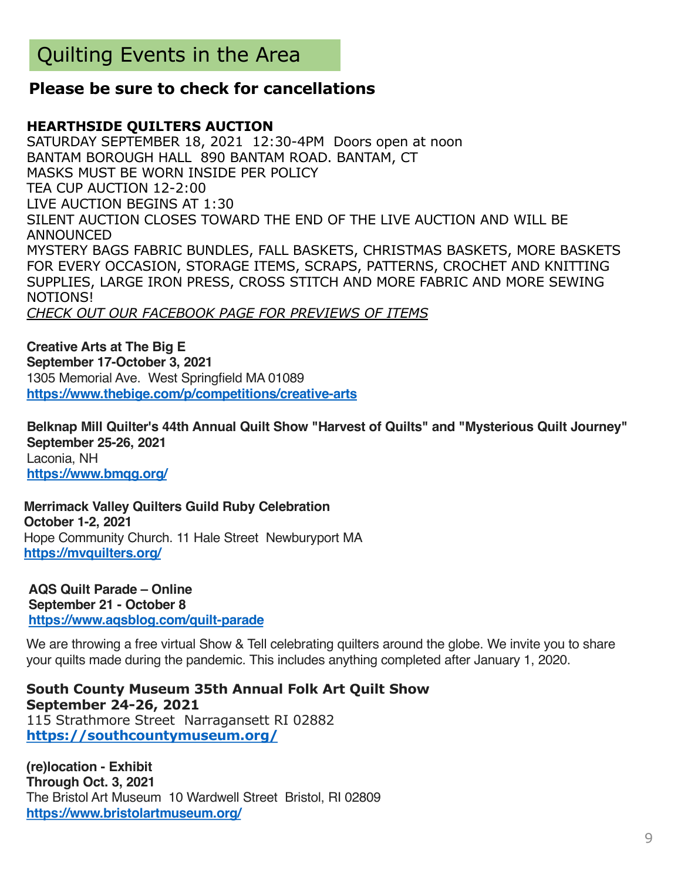### **Please be sure to check for cancellations**

#### **HEARTHSIDE QUILTERS AUCTION**

SATURDAY SEPTEMBER 18, 2021 12:30-4PM Doors open at noon BANTAM BOROUGH HALL 890 BANTAM ROAD. BANTAM, CT MASKS MUST BE WORN INSIDE PER POLICY TEA CUP AUCTION 12-2:00 LIVE AUCTION BEGINS AT 1:30 SILENT AUCTION CLOSES TOWARD THE END OF THE LIVE AUCTION AND WILL BE ANNOUNCED MYSTERY BAGS FABRIC BUNDLES, FALL BASKETS, CHRISTMAS BASKETS, MORE BASKETS FOR EVERY OCCASION, STORAGE ITEMS, SCRAPS, PATTERNS, CROCHET AND KNITTING SUPPLIES, LARGE IRON PRESS, CROSS STITCH AND MORE FABRIC AND MORE SEWING NOTIONS! *CHECK OUT OUR FACEBOOK PAGE FOR PREVIEWS OF ITEMS*

**Creative Arts at The Big E September 17-October 3, 2021** 1305 Memorial Ave. West Springfield MA 01089 **[https://www.thebige.com/p/competitions/creative-art](https://sewmanyshows.us19.list-manage.com/track/click?u=45e35880b67872826e6bfbfc2&id=db90440a7c&e=781fb09e8a)s**

**Belknap Mill Quilter's 44th Annual Quilt Show "Harvest of Quilts" and "Mysterious Quilt Journey" September 25-26, 2021** Laconia, NH **[https://www.bmqg.org](https://sewmanyshows.us19.list-manage.com/track/click?u=45e35880b67872826e6bfbfc2&id=7b236d844b&e=781fb09e8a)/**

**Merrimack Valley Quilters Guild Ruby Celebration October 1-2, 2021** Hope Community Church. 11 Hale Street Newburyport MA **[https://mvquilters.org](https://sewmanyshows.us19.list-manage.com/track/click?u=45e35880b67872826e6bfbfc2&id=a997b3bfa9&e=781fb09e8a)/**

**AQS Quilt Parade – Online September 21 - October 8 [https://www.aqsblog.com/quilt-parad](https://www.aqsblog.com/quilt-parade)e**

We are throwing a free virtual Show & Tell celebrating quilters around the globe. We invite you to share your quilts made during the pandemic. This includes anything completed after January 1, 2020.

**South County Museum 35th Annual Folk Art Quilt Show September 24-26, 2021** 115 Strathmore Street Narragansett RI 02882 **[https://southcountymuseum.org](https://sewmanyshows.us19.list-manage.com/track/click?u=45e35880b67872826e6bfbfc2&id=19d4eba08b&e=781fb09e8a)/**

**(re)location - Exhibit Through Oct. 3, 2021** The Bristol Art Museum 10 Wardwell Street Bristol, RI 02809 **[https://www.bristolartmuseum.org](https://sewmanyshows.us19.list-manage.com/track/click?u=45e35880b67872826e6bfbfc2&id=b84f0d285f&e=781fb09e8a)/**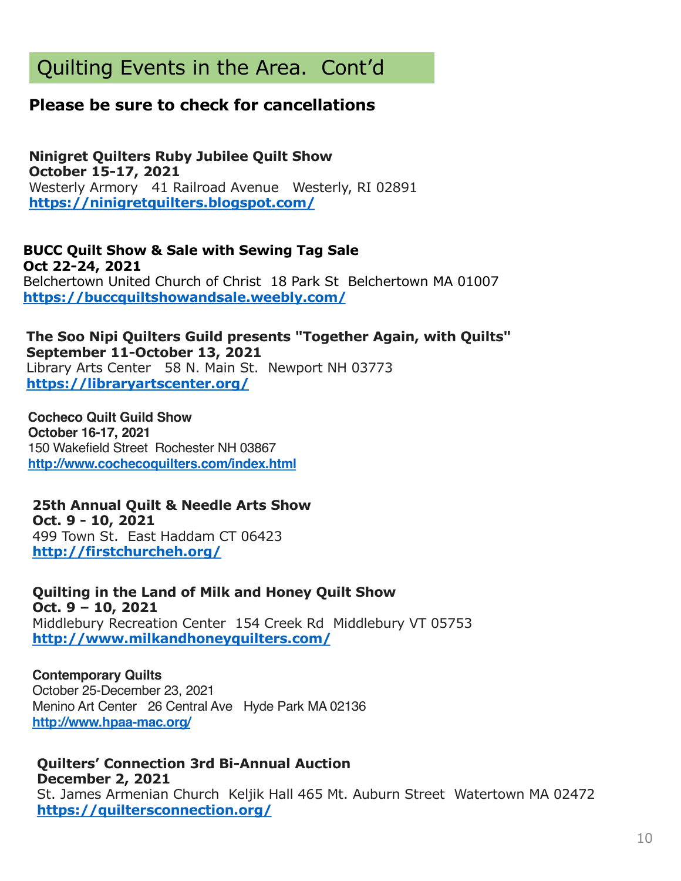# Quilting Events in the Area. Cont'd

### **Please be sure to check for cancellations**

**Ninigret Quilters Ruby Jubilee Quilt Show October 15-17, 2021** Westerly Armory 41 Railroad Avenue Westerly, RI 02891 **[https://ninigretquilters.blogspot.com](https://sewmanyshows.us19.list-manage.com/track/click?u=45e35880b67872826e6bfbfc2&id=a86d92b0fd&e=781fb09e8a)/**

**BUCC Quilt Show & Sale with Sewing Tag Sale Oct 22-24, 2021** Belchertown United Church of Christ 18 Park St Belchertown MA 01007 **[https://buccquiltshowandsale.weebly.com](https://sewmanyshows.us19.list-manage.com/track/click?u=45e35880b67872826e6bfbfc2&id=b83fd5b50f&e=781fb09e8a)/**

#### **The Soo Nipi Quilters Guild presents "Together Again, with Quilts" September 11-October 13, 2021** Library Arts Center 58 N. Main St. Newport NH 03773 **[https://libraryartscenter.org/](https://sewmanyshows.us19.list-manage.com/track/click?u=45e35880b67872826e6bfbfc2&id=649df0d783&e=781fb09e8a)**

**Cocheco Quilt Guild Show October 16-17, 2021** 150 Wakefield Street Rochester NH 03867 **[http://www.cochecoquilters.com/index.htm](https://sewmanyshows.us19.list-manage.com/track/click?u=45e35880b67872826e6bfbfc2&id=8104fe672d&e=781fb09e8a)l**

### **25th Annual Quilt & Needle Arts Show Oct. 9 - 10, 2021**

499 Town St. East Haddam CT 06423 **[http://firstchurcheh.org/](https://sewmanyshows.us19.list-manage.com/track/click?u=45e35880b67872826e6bfbfc2&id=accf4264fa&e=781fb09e8a)**

**Quilting in the Land of Milk and Honey Quilt Show Oct. 9 – 10, 2021** Middlebury Recreation Center 154 Creek Rd Middlebury VT 05753 **[http://www.milkandhoneyquilters.com](https://sewmanyshows.us19.list-manage.com/track/click?u=45e35880b67872826e6bfbfc2&id=e5574b3904&e=781fb09e8a)/**

### **Contemporary Quilts**

October 25-December 23, 2021 Menino Art Center 26 Central Ave Hyde Park MA 02136 **[http://www.hpaa-mac.org](https://sewmanyshows.us19.list-manage.com/track/click?u=45e35880b67872826e6bfbfc2&id=37763ad6ad&e=781fb09e8a)/**

#### **Quilters' Connection 3rd Bi-Annual Auction December 2, 2021**

St. James Armenian Church Keljik Hall 465 Mt. Auburn Street Watertown MA 02472 **[https://quiltersconnection.org](https://sewmanyshows.us19.list-manage.com/track/click?u=45e35880b67872826e6bfbfc2&id=49700ca1dd&e=781fb09e8a)/**